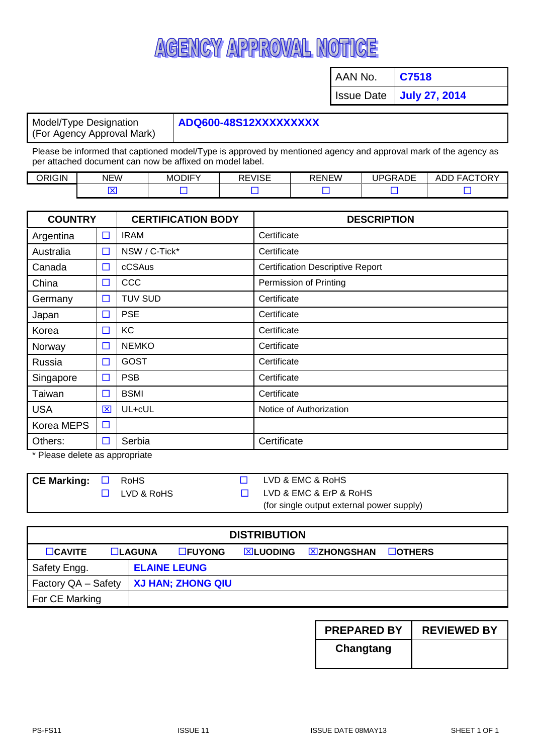## AGENCY APPROVAL NOTICE

AAN No. **C7518**

Issue Date **July 27, 2014**

Model/Type Designation (For Agency Approval Mark)

## **ADQ600-48S12XXXXXXXXX**

Please be informed that captioned model/Type is approved by mentioned agency and approval mark of the agency as per attached document can now be affixed on model label.

| <b>ORIGIN</b> | <b>NEW</b> | <b>MODIFY</b> | <b>DEVICE</b><br>ு∨≀⊳∟<br>NE. | <b>RENEW</b><br>KC. | <b>IDGRADE</b><br>™າKAD∟<br>$\cdot$ . | <b>\CTORY</b><br>FA <sub>l</sub><br>ADE.<br>ADI<br>. |
|---------------|------------|---------------|-------------------------------|---------------------|---------------------------------------|------------------------------------------------------|
|               |            |               |                               |                     |                                       |                                                      |

| <b>COUNTRY</b> |        | <b>CERTIFICATION BODY</b> | <b>DESCRIPTION</b>                      |  |  |
|----------------|--------|---------------------------|-----------------------------------------|--|--|
| Argentina      | $\Box$ | <b>IRAM</b>               | Certificate                             |  |  |
| Australia      | $\Box$ | NSW / C-Tick*             | Certificate                             |  |  |
| Canada         | $\Box$ | cCSAus                    | <b>Certification Descriptive Report</b> |  |  |
| China          | $\Box$ | CCC                       | Permission of Printing                  |  |  |
| Germany        | $\Box$ | <b>TUV SUD</b>            | Certificate                             |  |  |
| Japan          | $\Box$ | <b>PSE</b>                | Certificate                             |  |  |
| Korea          | $\Box$ | KC                        | Certificate                             |  |  |
| Norway         | $\Box$ | <b>NEMKO</b>              | Certificate                             |  |  |
| Russia         | $\Box$ | <b>GOST</b>               | Certificate                             |  |  |
| Singapore      | $\Box$ | <b>PSB</b>                | Certificate                             |  |  |
| Taiwan         | $\Box$ | <b>BSMI</b>               | Certificate                             |  |  |
| <b>USA</b>     | 区      | UL+cUL                    | Notice of Authorization                 |  |  |
| Korea MEPS     | $\Box$ |                           |                                         |  |  |
| Others:        | $\Box$ | Serbia                    | Certificate                             |  |  |

\* Please delete as appropriate

| $\mathsf{\sim}$ CE Marking: $\Box$ RoHS |                   | LVD & EMC & RoHS                          |
|-----------------------------------------|-------------------|-------------------------------------------|
|                                         | $\Box$ LVD & RoHS | LVD & EMC & ErP & RoHS                    |
|                                         |                   | (for single output external power supply) |

| <b>DISTRIBUTION</b> |  |        |                          |                   |                    |               |  |
|---------------------|--|--------|--------------------------|-------------------|--------------------|---------------|--|
| $\Box$ CAVITE       |  | LAGUNA | $\Box$ FUYONG            | <b>EXALUODING</b> | <b>EXZHONGSHAN</b> | $\Box$ OTHERS |  |
| Safety Engg.        |  |        | <b>ELAINE LEUNG</b>      |                   |                    |               |  |
| Factory QA - Safety |  |        | <b>XJ HAN; ZHONG QIU</b> |                   |                    |               |  |
| For CE Marking      |  |        |                          |                   |                    |               |  |

| <b>PREPARED BY</b> | <b>REVIEWED BY</b> |
|--------------------|--------------------|
| Changtang          |                    |